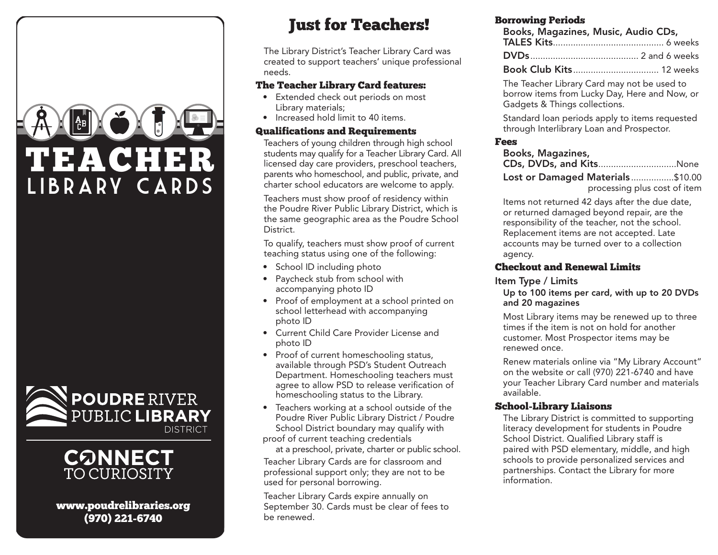





www.poudrelibraries.org (970) 221-6740

## Just for Teachers!

The Library District's Teacher Library Card was created to support teachers' unique professional needs.

#### The Teacher Library Card features:

- Extended check out periods on most Library materials;
- Increased hold limit to 40 items.

### Qualifications and Requirements

Teachers of young children through high school students may qualify for a Teacher Library Card. All licensed day care providers, preschool teachers, parents who homeschool, and public, private, and charter school educators are welcome to apply.

Teachers must show proof of residency within the Poudre River Public Library District, which is the same geographic area as the Poudre School District.

To qualify, teachers must show proof of current teaching status using one of the following:

- School ID including photo
- Paycheck stub from school with accompanying photo ID
- Proof of employment at a school printed on school letterhead with accompanying photo ID
- Current Child Care Provider License and photo ID
- Proof of current homeschooling status, available through PSD's Student Outreach Department. Homeschooling teachers must agree to allow PSD to release verification of homeschooling status to the Library.
- Teachers working at a school outside of the Poudre River Public Library District / Poudre School District boundary may qualify with proof of current teaching credentials

at a preschool, private, charter or public school.

Teacher Library Cards are for classroom and professional support only; they are not to be used for personal borrowing.

Teacher Library Cards expire annually on September 30. Cards must be clear of fees to be renewed.

## Borrowing Periods

| Books, Magazines, Music, Audio CDs, |  |  |
|-------------------------------------|--|--|
|                                     |  |  |
|                                     |  |  |

Book Club Kits.................................. 12 weeks

The Teacher Library Card may not be used to borrow items from Lucky Day, Here and Now, or Gadgets & Things collections.

Standard loan periods apply to items requested through Interlibrary Loan and Prospector.

#### Fees

Books, Magazines,

|  |  |  |  |  | CDs, DVDs, and KitsNone |  |
|--|--|--|--|--|-------------------------|--|
|--|--|--|--|--|-------------------------|--|

Lost or Damaged Materials .................\$10.00 processing plus cost of item

Items not returned 42 days after the due date, or returned damaged beyond repair, are the responsibility of the teacher, not the school. Replacement items are not accepted. Late accounts may be turned over to a collection agency.

## Checkout and Renewal Limits

Item Type / Limits

Up to 100 items per card, with up to 20 DVDs and 20 magazines

Most Library items may be renewed up to three times if the item is not on hold for another customer. Most Prospector items may be renewed once.

Renew materials online via "My Library Account" on the website or call (970) 221-6740 and have your Teacher Library Card number and materials available.

## School-Library Liaisons

The Library District is committed to supporting literacy development for students in Poudre School District. Qualified Library staff is paired with PSD elementary, middle, and high schools to provide personalized services and partnerships. Contact the Library for more information.